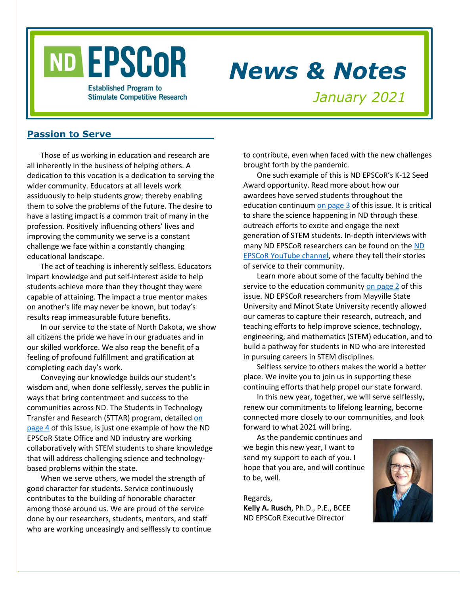# ND EPSCOR

# *News & Notes*

**Established Program to Stimulate Competitive Research** 

*January 2021*

#### **Passion to Serve**

Those of us working in education and research are all inherently in the business of helping others. A dedication to this vocation is a dedication to serving the wider community. Educators at all levels work assiduously to help students grow; thereby enabling them to solve the problems of the future. The desire to have a lasting impact is a common trait of many in the profession. Positively influencing others' lives and improving the community we serve is a constant challenge we face within a constantly changing educational landscape.

The act of teaching is inherently selfless. Educators impart knowledge and put self-interest aside to help students achieve more than they thought they were capable of attaining. The impact a true mentor makes on another's life may never be known, but today's results reap immeasurable future benefits.

In our service to the state of North Dakota, we show all citizens the pride we have in our graduates and in our skilled workforce. We also reap the benefit of a feeling of profound fulfillment and gratification at completing each day's work.

Conveying our knowledge builds our student's wisdom and, when done selflessly, serves the public in ways that bring contentment and success to the communities across ND. The Students in Technology Transfer and Research (STTAR) program, detailed [on](#page-3-0)  [page 4](#page-3-0) of this issue, is just one example of how the ND EPSCoR State Office and ND industry are working collaboratively with STEM students to share knowledge that will address challenging science and technologybased problems within the state.

When we serve others, we model the strength of good character for students. Service continuously contributes to the building of honorable character among those around us. We are proud of the service done by our researchers, students, mentors, and staff who are working unceasingly and selflessly to continue to contribute, even when faced with the new challenges brought forth by the pandemic.

One such example of this is ND EPSCoR's K-12 Seed Award opportunity. Read more about how our awardees have served students throughout the education continuum [on page 3](#page-2-0) of this issue. It is critical to share the science happening in ND through these outreach efforts to excite and engage the next generation of STEM students. In-depth interviews with many ND EPSCoR researchers can be found on the [ND](https://www.youtube.com/channel/UCmRt3H2_LPAkJLSAe7nrQrg)  EPSCoR [YouTube channel,](https://www.youtube.com/channel/UCmRt3H2_LPAkJLSAe7nrQrg) where they tell their stories of service to their community.

Learn more about some of the faculty behind the service to the education communit[y on page 2](#page-1-0) of this issue. ND EPSCoR researchers from Mayville State University and Minot State University recently allowed our cameras to capture their research, outreach, and teaching efforts to help improve science, technology, engineering, and mathematics (STEM) education, and to build a pathway for students in ND who are interested in pursuing careers in STEM disciplines.

Selfless service to others makes the world a better place. We invite you to join us in supporting these continuing efforts that help propel our state forward.

In this new year, together, we will serve selflessly, renew our commitments to lifelong learning, become connected more closely to our communities, and look forward to what 2021 will bring.

As the pandemic continues and we begin this new year, I want to send my support to each of you. I hope that you are, and will continue to be, well.

Regards, **Kelly A. Rusch**, Ph.D., P.E., BCEE ND EPSCoR Executive Director

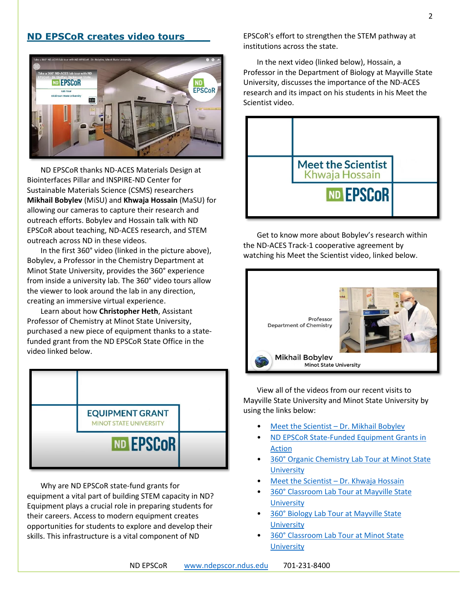# <span id="page-1-0"></span>**ND EPSCoR creates video tours\_\_\_\_**



ND EPSCoR thanks ND-ACES Materials Design at Biointerfaces Pillar and INSPIRE-ND Center for Sustainable Materials Science (CSMS) researchers **Mikhail Bobylev** (MiSU) and **Khwaja Hossain** (MaSU) for allowing our cameras to capture their research and outreach efforts. Bobylev and Hossain talk with ND EPSCoR about teaching, ND-ACES research, and STEM outreach across ND in these videos.

In the first 360° video (linked in the picture above), Bobylev, a Professor in the Chemistry Department at Minot State University, provides the 360° experience from inside a university lab. The 360° video tours allow the viewer to look around the lab in any direction, creating an immersive virtual experience.

Learn about how **Christopher Heth**, Assistant Professor of Chemistry at Minot State University, purchased a new piece of equipment thanks to a statefunded grant from the ND EPSCoR State Office in the video linked below.



Why are ND EPSCoR state-fund grants for equipment a vital part of building STEM capacity in ND? Equipment plays a crucial role in preparing students for their careers. Access to modern equipment creates opportunities for students to explore and develop their skills. This infrastructure is a vital component of ND

EPSCoR's effort to strengthen the STEM pathway at institutions across the state.

In the next video (linked below), Hossain, a Professor in the Department of Biology at Mayville State University, discusses the importance of the ND-ACES research and its impact on his students in his Meet the Scientist video.



Get to know more about Bobylev's research within the ND-ACES Track-1 cooperative agreement by watching his Meet the Scientist video, linked below.



View all of the videos from our recent visits to Mayville State University and Minot State University by using the links below:

- Meet the Scientist [Dr. Mikhail Bobylev](https://youtu.be/CsWaNlhdCMk)
- [ND EPSCoR State-Funded Equipment Grants in](https://youtu.be/AyeGa6pNK_c) [Action](https://youtu.be/AyeGa6pNK_c)
- [360° Organic Chemistry Lab Tour](https://youtu.be/9Di0fHppOeQ) at Minot State **University**
- Meet the Scientist [Dr. Khwaja Hossain](https://youtu.be/8g1TAJ3sDS8)
- [360° Classroom Lab Tour at Mayville State](https://youtu.be/VxU185y_41w)  **[University](https://youtu.be/VxU185y_41w)**
- [360° Biology Lab Tour at Mayville State](https://youtu.be/9r3dW3gm7VU)  **[University](https://youtu.be/9r3dW3gm7VU)**
- [360° Classroom Lab Tour at Minot State](https://youtu.be/S6M5M49OGZM)  **[University](https://youtu.be/S6M5M49OGZM)**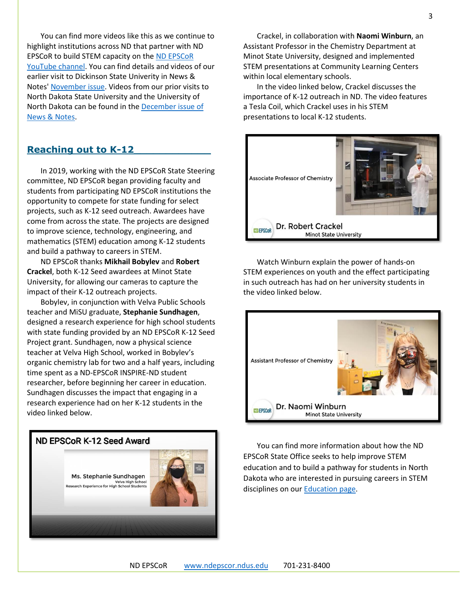You can find more videos like this as we continue to highlight institutions across ND that partner with ND EPSCoR to build STEM capacity on the ND [EPSCoR](https://bit.ly/ndepscorchannel) [YouTube channel.](https://bit.ly/ndepscorchannel) You can find details and videos of our earlier visit to Dickinson State Univerity in News & Notes' [November issue.](https://www.ndepscor.ndus.edu/fileadmin/ndus/ndepscor/News_and_Notes_Newsletters/News_and_Notes_Newsletter_2020_November.pdf) Videos from our prior visits to North Dakota State University and the University of North Dakota can be found in the [December issue of](https://www.ndepscor.ndus.edu/fileadmin/ndus/ndepscor/News_and_Notes_Newsletters/News_and_Notes_Newsletter_2020_December.pdf)  [News & Notes.](https://www.ndepscor.ndus.edu/fileadmin/ndus/ndepscor/News_and_Notes_Newsletters/News_and_Notes_Newsletter_2020_December.pdf)

#### <span id="page-2-0"></span>**Reaching out to K-12\_\_\_\_\_\_\_\_\_\_\_\_**

In 2019, working with the ND EPSCoR State Steering committee, ND EPSCoR began providing faculty and students from participating ND EPSCoR institutions the opportunity to compete for state funding for select projects, such as K-12 seed outreach. Awardees have come from across the state. The projects are designed to improve science, technology, engineering, and mathematics (STEM) education among K-12 students and build a pathway to careers in STEM.

ND EPSCoR thanks **Mikhail Bobylev** and **Robert Crackel**, both K-12 Seed awardees at Minot State University, for allowing our cameras to capture the impact of their K-12 outreach projects.

Bobylev, in conjunction with Velva Public Schools teacher and MiSU graduate, **Stephanie Sundhagen**, designed a research experience for high school students with state funding provided by an ND EPSCoR K-12 Seed Project grant. Sundhagen, now a physical science teacher at Velva High School, worked in Bobylev's organic chemistry lab for two and a half years, including time spent as a ND-EPSCoR INSPIRE-ND student researcher, before beginning her career in education. Sundhagen discusses the impact that engaging in a research experience had on her K-12 students in the video linked below.



Crackel, in collaboration with **Naomi Winburn**, an Assistant Professor in the Chemistry Department at Minot State University, designed and implemented STEM presentations at Community Learning Centers within local elementary schools.

In the video linked below, Crackel discusses the importance of K-12 outreach in ND. The video features a Tesla Coil, which Crackel uses in his STEM presentations to local K-12 students.



Watch Winburn explain the power of hands-on STEM experiences on youth and the effect participating in such outreach has had on her university students in the video linked below.



You can find more information about how the ND EPSCoR State Office seeks to help improve STEM education and to build a pathway for students in North Dakota who are interested in pursuing careers in STEM disciplines on ou[r Education page.](https://www.ndepscor.ndus.edu/for-k-12/)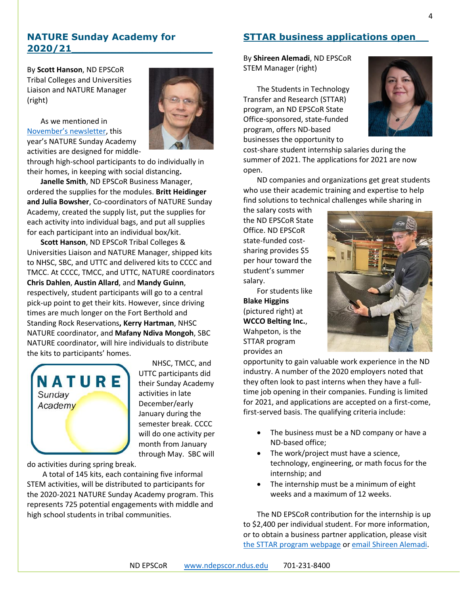# **NATURE Sunday Academy for 2020/21\_\_\_\_\_\_\_\_\_\_\_\_\_\_\_\_\_\_\_\_\_\_**

By **Scott Hanson**, ND EPSCoR Tribal Colleges and Universities Liaison and NATURE Manager (right)

As we mentioned in [November's newsletter](https://www.ndepscor.ndus.edu/fileadmin/ndus/ndepscor/News_and_Notes_Newsletters/News_and_Notes_Newsletter_2020_November.pdf), this year's NATURE Sunday Academy activities are designed for middle-

through high-school participants to do individually in their homes, in keeping with social distancing**.** 

**Janelle Smith**, ND EPSCoR Business Manager, ordered the supplies for the modules. **Britt Heidinger and Julia Bowsher**, Co-coordinators of NATURE Sunday Academy, created the supply list, put the supplies for each activity into individual bags, and put all supplies for each participant into an individual box/kit.

**Scott Hanson**, ND EPSCoR Tribal Colleges & Universities Liaison and NATURE Manager, shipped kits to NHSC, SBC, and UTTC and delivered kits to CCCC and TMCC. At CCCC, TMCC, and UTTC, NATURE coordinators **Chris Dahlen**, **Austin Allard**, and **Mandy Guinn**, respectively, student participants will go to a central pick-up point to get their kits. However, since driving times are much longer on the Fort Berthold and Standing Rock Reservations**, Kerry Hartman**, NHSC NATURE coordinator, and **Mafany Ndiva Mongoh**, SBC NATURE coordinator, will hire individuals to distribute the kits to participants' homes.



NHSC, TMCC, and UTTC participants did their Sunday Academy activities in late December/early January during the semester break. CCCC will do one activity per month from January through May. SBC will

do activities during spring break.

A total of 145 kits, each containing five informal STEM activities, will be distributed to participants for the 2020-2021 NATURE Sunday Academy program. This represents 725 potential engagements with middle and high school students in tribal communities.

# <span id="page-3-0"></span>**STTAR business applications open\_\_**

By **Shireen Alemadi**, ND EPSCoR STEM Manager (right)

The Students in Technology Transfer and Research (STTAR) program, an ND EPSCoR State Office-sponsored, state-funded program, offers ND-based businesses the opportunity to



cost-share student internship salaries during the summer of 2021. The applications for 2021 are now open.

ND companies and organizations get great students who use their academic training and expertise to help find solutions to technical challenges while sharing in

the salary costs with the ND EPSCoR State Office. ND EPSCoR state-funded costsharing provides \$5 per hour toward the student's summer salary.

For students like **Blake Higgins** (pictured right) at **WCCO Belting Inc.**, Wahpeton, is the STTAR program provides an



opportunity to gain valuable work experience in the ND industry. A number of the 2020 employers noted that they often look to past interns when they have a fulltime job opening in their companies. Funding is limited for 2021, and applications are accepted on a first-come, first-served basis. The qualifying criteria include:

- The business must be a ND company or have a ND-based office;
- The work/project must have a science, technology, engineering, or math focus for the internship; and
- The internship must be a minimum of eight weeks and a maximum of 12 weeks.

The ND EPSCoR contribution for the internship is up to \$2,400 per individual student. For more information, or to obtain a business partner application, please visit [the STTAR program webpage](https://www.ndepscor.ndus.edu/programs/sttar/) or email [Shireen Alemadi.](mailto:shireen.alemadi@ndus.edu)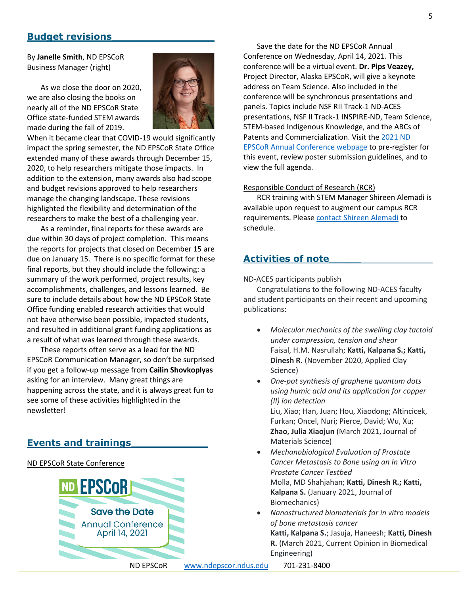#### **Budget revisions\_\_\_\_\_\_\_\_\_\_\_\_\_\_\_\_**

By **Janelle Smith**, ND EPSCoR Business Manager (right)

As we close the door on 2020, we are also closing the books on nearly all of the ND EPSCoR State Office state-funded STEM awards made during the fall of 2019.



When it became clear that COVID-19 would significantly impact the spring semester, the ND EPSCoR State Office extended many of these awards through December 15, 2020, to help researchers mitigate those impacts. In addition to the extension, many awards also had scope and budget revisions approved to help researchers manage the changing landscape. These revisions highlighted the flexibility and determination of the researchers to make the best of a challenging year.

As a reminder, final reports for these awards are due within 30 days of project completion. This means the reports for projects that closed on December 15 are due on January 15. There is no specific format for these final reports, but they should include the following: a summary of the work performed, project results, key accomplishments, challenges, and lessons learned. Be sure to include details about how the ND EPSCoR State Office funding enabled research activities that would not have otherwise been possible, impacted students, and resulted in additional grant funding applications as a result of what was learned through these awards.

These reports often serve as a lead for the ND EPSCoR Communication Manager, so don't be surprised if you get a follow-up message from **Cailin Shovkoplyas** asking for an interview. Many great things are happening across the state, and it is always great fun to see some of these activities highlighted in the newsletter!

# **Events and trainings\_\_\_\_\_\_\_\_\_\_\_\_**

#### ND EPSCoR State Conference



Save the date for the ND EPSCoR Annual Conference on Wednesday, April 14, 2021. This conference will be a virtual event. **Dr. Pips Veazey,**  Project Director, Alaska EPSCoR, will give a keynote address on Team Science. Also included in the conference will be synchronous presentations and panels. Topics include NSF RII Track-1 ND-ACES presentations, NSF II Track-1 INSPIRE-ND, Team Science, STEM-based Indigenous Knowledge, and the ABCs of Patents and Commercialization. Visit th[e 2021 ND](https://www.ndepscor.ndus.edu/news/nd-epscor-state-conf/)  [EPSCoR Annual Conference webpage](https://www.ndepscor.ndus.edu/news/nd-epscor-state-conf/) to pre-register for this event, review poster submission guidelines, and to view the full agenda.

#### Responsible Conduct of Research (RCR)

RCR training with STEM Manager Shireen Alemadi is available upon request to augment our campus RCR requirements. Please [contact Shireen Alemadi](mailto:shireen.alemadi@ndus.edu) to schedule.

# **Activities of note\_\_\_\_\_**

#### ND-ACES participants publish

Congratulations to the following ND-ACES faculty and student participants on their recent and upcoming publications:

- *Molecular mechanics of the swelling clay tactoid under compression, tension and shear* Faisal, H.M. Nasrullah; **Katti, Kalpana S.; Katti, Dinesh R.** (November 2020, Applied Clay Science)
- *One-pot synthesis of graphene quantum dots using humic acid and its application for copper (II) ion detection* Liu, Xiao; Han, Juan; Hou, Xiaodong; Altincicek, Furkan; Oncel, Nuri; Pierce, David; Wu, Xu; **Zhao, Julia Xiaojun** (March 2021, Journal of Materials Science)
- *Mechanobiological Evaluation of Prostate Cancer Metastasis to Bone using an In Vitro Prostate Cancer Testbed*  Molla, MD Shahjahan; **Katti, Dinesh R.; Katti, Kalpana S.** (January 2021, Journal of Biomechanics)
- *Nanostructured biomaterials for in vitro models of bone metastasis cancer*  **Katti, Kalpana S.**; Jasuja, Haneesh; **Katti, Dinesh R.** (March 2021, Current Opinion in Biomedical Engineering)

ND EPSCoR [www.ndepscor.ndus.edu](http://www.ndepscor.ndus.edu/) 701-231-8400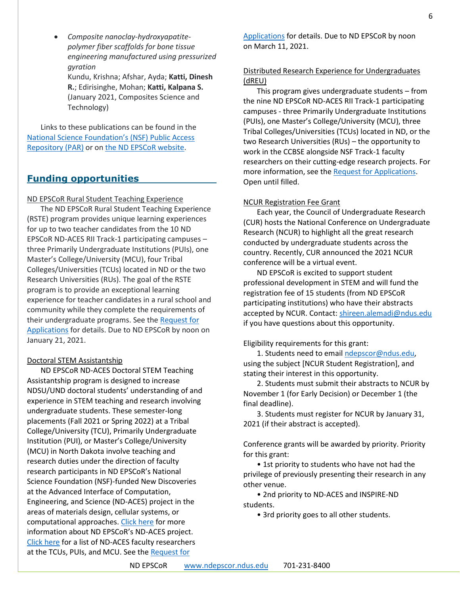• *Composite nanoclay-hydroxyapatitepolymer fiber scaffolds for bone tissue engineering manufactured using pressurized gyration* Kundu, Krishna; Afshar, Ayda; **Katti, Dinesh R.**; Edirisinghe, Mohan; **Katti, Kalpana S.** (January 2021, Composites Science and Technology)

Links to these publications can be found in the [National Science Foundation's \(NSF\) Public Access](https://par.nsf.gov/search/term:1946202)  [Repository \(PAR\)](https://par.nsf.gov/search/term:1946202) or on [the ND EPSCoR website.](https://www.ndepscor.ndus.edu/ndepscorprograms/track-1-nd-aces-prime-institution-ndsu/)

# **Funding opportunities**

ND EPSCoR Rural Student Teaching Experience

The ND EPSCoR Rural Student Teaching Experience (RSTE) program provides unique learning experiences for up to two teacher candidates from the 10 ND EPSCoR ND-ACES RII Track-1 participating campuses – three Primarily Undergraduate Institutions (PUIs), one Master's College/University (MCU), four Tribal Colleges/Universities (TCUs) located in ND or the two Research Universities (RUs). The goal of the RSTE program is to provide an exceptional learning experience for teacher candidates in a rural school and community while they complete the requirements of their undergraduate programs. See the [Request for](https://www.ndepscor.ndus.edu/fileadmin/ndus/ndepscor/RSTE/RSTE_2021_RFA.pdf)  [Applications](https://www.ndepscor.ndus.edu/fileadmin/ndus/ndepscor/RSTE/RSTE_2021_RFA.pdf) for details. Due to ND EPSCoR by noon on January 21, 2021.

#### Doctoral STEM Assistantship

ND EPSCoR ND-ACES Doctoral STEM Teaching Assistantship program is designed to increase NDSU/UND doctoral students' understanding of and experience in STEM teaching and research involving undergraduate students. These semester-long placements (Fall 2021 or Spring 2022) at a Tribal College/University (TCU), Primarily Undergraduate Institution (PUI), or Master's College/University (MCU) in North Dakota involve teaching and research duties under the direction of faculty research participants in ND EPSCoR's National Science Foundation (NSF)-funded New Discoveries at the Advanced Interface of Computation, Engineering, and Science (ND-ACES) project in the areas of materials design, cellular systems, or computational approaches. [Click here](https://www.ndepscor.ndus.edu/ndepscorprograms/track-1-nd-aces-prime-institution-ndsu/) for more information about ND EPSCoR's ND-ACES project. [Click here](https://www.ndepscor.ndus.edu/fileadmin/ndus/ndepscor/STEM/STEM_Asst._Researchers_list.pdf) for a list of ND-ACES faculty researchers at the TCUs, PUIs, and MCU. See the Request for

[Applications](https://www.ndepscor.ndus.edu/fileadmin/ndus/ndepscor/STEM/STEM_Teaching_Asst._2021.pdf) for details. Due to ND EPSCoR by noon on March 11, 2021.

#### Distributed Research Experience for Undergraduates (dREU)

This program gives undergraduate students – from the nine ND EPSCoR ND-ACES RII Track-1 participating campuses - three Primarily Undergraduate Institutions (PUIs), one Master's College/University (MCU), three Tribal Colleges/Universities (TCUs) located in ND, or the two Research Universities (RUs) – the opportunity to work in the CCBSE alongside NSF Track-1 faculty researchers on their cutting-edge research projects. For more information, see the [Request for Applications.](https://www.ndepscor.ndus.edu/fileadmin/ndus/ndepscor/REU/2021REURFAfinal_reopened.pdf) Open until filled.

#### NCUR Registration Fee Grant

Each year, the Council of Undergraduate Research (CUR) hosts the National Conference on Undergraduate Research (NCUR) to highlight all the great research conducted by undergraduate students across the country. Recently, CUR announced the 2021 NCUR conference will be a virtual event.

ND EPSCoR is excited to support student professional development in STEM and will fund the registration fee of 15 students (from ND EPSCoR participating institutions) who have their abstracts accepted by NCUR. Contact: [shireen.alemadi@ndus.edu](mailto:shireen.alemadi@ndus.edu) if you have questions about this opportunity.

#### Eligibility requirements for this grant:

1. Students need to email [ndepscor@ndus.edu,](mailto:ndepscor@ndus.edu) using the subject [NCUR Student Registration], and stating their interest in this opportunity.

2. Students must submit their abstracts to NCUR by November 1 (for Early Decision) or December 1 (the final deadline).

3. Students must register for NCUR by January 31, 2021 (if their abstract is accepted).

Conference grants will be awarded by priority. Priority for this grant:

• 1st priority to students who have not had the privilege of previously presenting their research in any other venue.

• 2nd priority to ND-ACES and INSPIRE-ND students.

• 3rd priority goes to all other students.